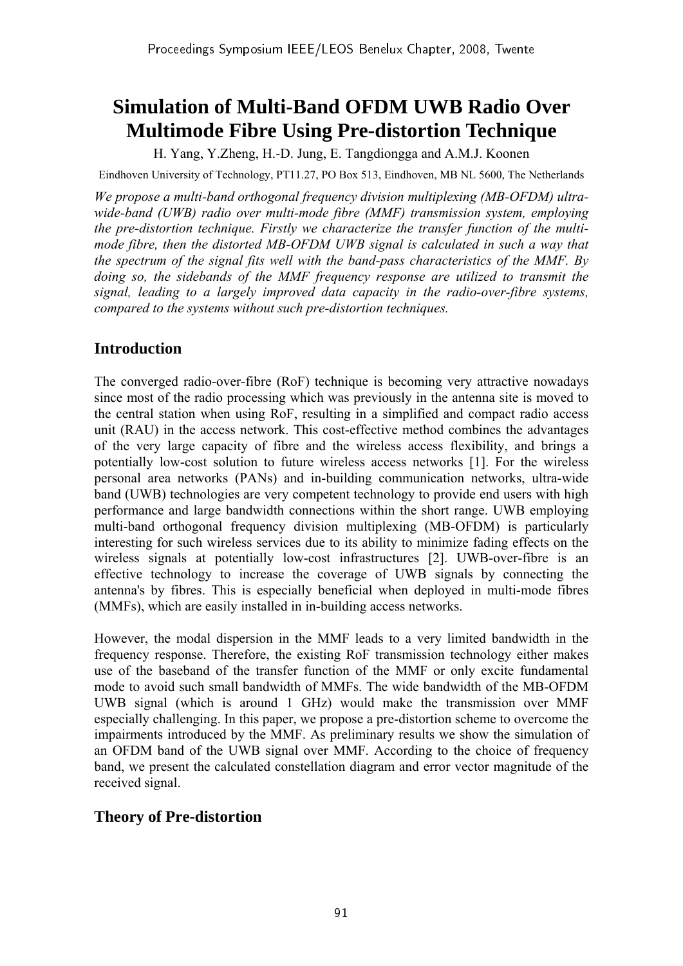# **Simulation of Multi-Band OFDM UWB Radio Over Multimode Fibre Using Pre-distortion Technique**

H. Yang, Y.Zheng, H.-D. Jung, E. Tangdiongga and A.M.J. Koonen

Eindhoven University of Technology, PT11.27, PO Box 513, Eindhoven, MB NL 5600, The Netherlands

*We propose a multi-band orthogonal frequency division multiplexing (MB-OFDM) ultrawide-band (UWB) radio over multi-mode fibre (MMF) transmission system, employing the pre-distortion technique. Firstly we characterize the transfer function of the multimode fibre, then the distorted MB-OFDM UWB signal is calculated in such a way that the spectrum of the signal fits well with the band-pass characteristics of the MMF. By doing so, the sidebands of the MMF frequency response are utilized to transmit the signal, leading to a largely improved data capacity in the radio-over-fibre systems, compared to the systems without such pre-distortion techniques.* 

## **Introduction**

The converged radio-over-fibre (RoF) technique is becoming very attractive nowadays since most of the radio processing which was previously in the antenna site is moved to the central station when using RoF, resulting in a simplified and compact radio access unit (RAU) in the access network. This cost-effective method combines the advantages of the very large capacity of fibre and the wireless access flexibility, and brings a potentially low-cost solution to future wireless access networks [1]. For the wireless personal area networks (PANs) and in-building communication networks, ultra-wide band (UWB) technologies are very competent technology to provide end users with high performance and large bandwidth connections within the short range. UWB employing multi-band orthogonal frequency division multiplexing (MB-OFDM) is particularly interesting for such wireless services due to its ability to minimize fading effects on the wireless signals at potentially low-cost infrastructures [2]. UWB-over-fibre is an effective technology to increase the coverage of UWB signals by connecting the antenna's by fibres. This is especially beneficial when deployed in multi-mode fibres (MMFs), which are easily installed in in-building access networks.

However, the modal dispersion in the MMF leads to a very limited bandwidth in the frequency response. Therefore, the existing RoF transmission technology either makes use of the baseband of the transfer function of the MMF or only excite fundamental mode to avoid such small bandwidth of MMFs. The wide bandwidth of the MB-OFDM UWB signal (which is around 1 GHz) would make the transmission over MMF especially challenging. In this paper, we propose a pre-distortion scheme to overcome the impairments introduced by the MMF. As preliminary results we show the simulation of an OFDM band of the UWB signal over MMF. According to the choice of frequency band, we present the calculated constellation diagram and error vector magnitude of the received signal.

## **Theory of Pre-distortion**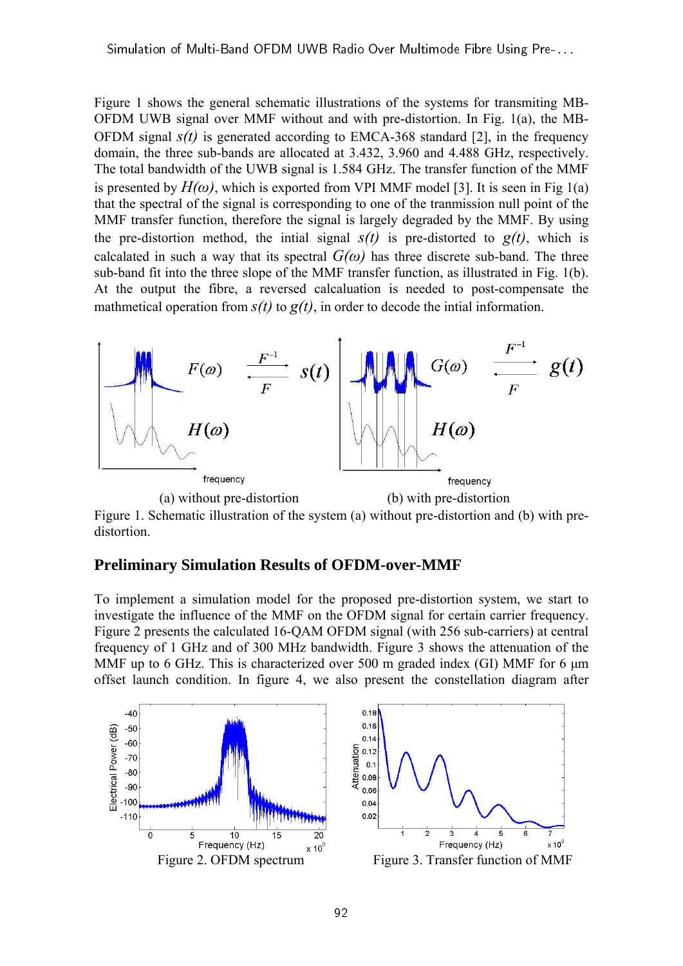Figure 1 shows the general schematic illustrations of the systems for transmiting MB-OFDM UWB signal over MMF without and with pre-distortion. In Fig. 1(a), the MB-OFDM signal  $s(t)$  is generated according to EMCA-368 standard [2], in the frequency domain, the three sub-bands are allocated at 3.432, 3.960 and 4.488 GHz, respectively. The total bandwidth of the UWB signal is 1.584 GHz. The transfer function of the MMF is presented by  $H(\omega)$ , which is exported from VPI MMF model [3]. It is seen in Fig 1(a) that the spectral of the signal is corresponding to one of the tranmission null point of the MMF transfer function, therefore the signal is largely degraded by the MMF. By using the pre-distortion method, the intial signal  $s(t)$  is pre-distorted to  $g(t)$ , which is calcalated in such a way that its spectral  $G(\omega)$  has three discrete sub-band. The three sub-band fit into the three slope of the MMF transfer function, as illustrated in Fig. 1(b). At the output the fibre, a reversed calcaluation is needed to post-compensate the mathmetical operation from  $s(t)$  to  $g(t)$ , in order to decode the intial information.



Figure 1. Schematic illustration of the system (a) without pre-distortion and (b) with predistortion.

#### **Preliminary Simulation Results of OFDM-over-MMF**

To implement a simulation model for the proposed pre-distortion system, we start to investigate the influence of the MMF on the OFDM signal for certain carrier frequency. Figure 2 presents the calculated 16-QAM OFDM signal (with 256 sub-carriers) at central frequency of 1 GHz and of 300 MHz bandwidth. Figure 3 shows the attenuation of the MMF up to 6 GHz. This is characterized over 500 m graded index (GI) MMF for 6 μm offset launch condition. In figure 4, we also present the constellation diagram after

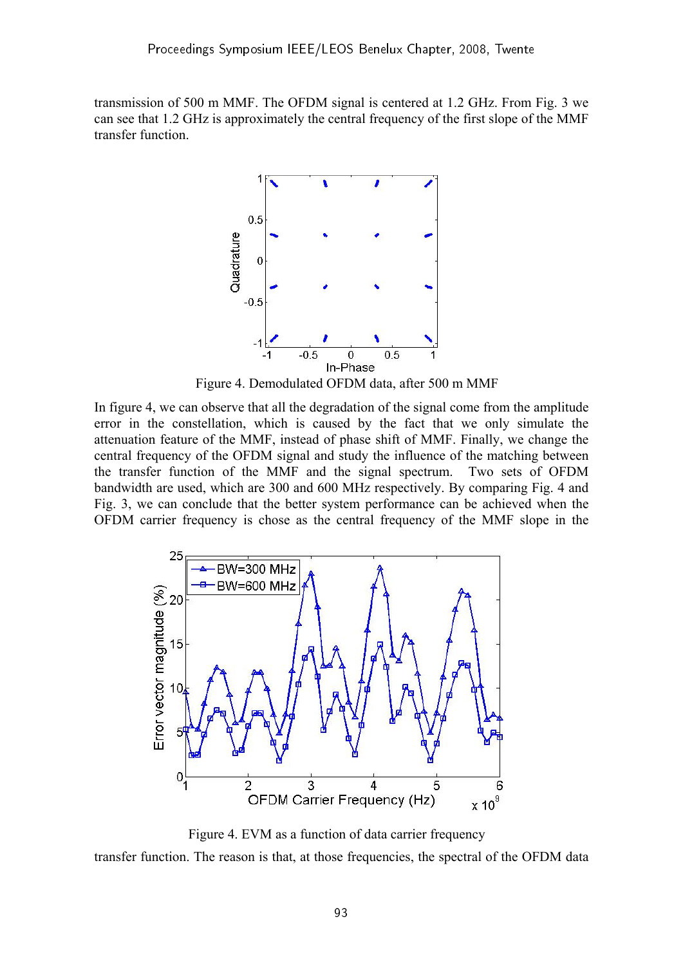transmission of 500 m MMF. The OFDM signal is centered at 1.2 GHz. From Fig. 3 we can see that 1.2 GHz is approximately the central frequency of the first slope of the MMF transfer function.



Figure 4. Demodulated OFDM data, after 500 m MMF

In figure 4, we can observe that all the degradation of the signal come from the amplitude error in the constellation, which is caused by the fact that we only simulate the attenuation feature of the MMF, instead of phase shift of MMF. Finally, we change the central frequency of the OFDM signal and study the influence of the matching between the transfer function of the MMF and the signal spectrum. Two sets of OFDM bandwidth are used, which are 300 and 600 MHz respectively. By comparing Fig. 4 and Fig. 3, we can conclude that the better system performance can be achieved when the OFDM carrier frequency is chose as the central frequency of the MMF slope in the



 Figure 4. EVM as a function of data carrier frequency transfer function. The reason is that, at those frequencies, the spectral of the OFDM data